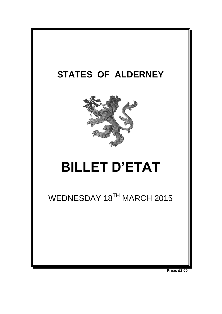

**Price: £2.00**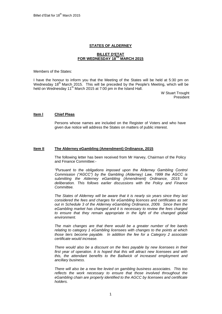# **STATES OF ALDERNEY**

# **BILLET D'ETAT FOR WEDNESDAY 18 TH MARCH 2015**

Members of the States:

I have the honour to inform you that the Meeting of the States will be held at 5:30 pm on Wednesday 18<sup>th</sup> March 2015. This will be preceded by the People's Meeting, which will be held on Wednesday 11<sup>th</sup> March 2015 at 7:00 pm in the Island Hall.

> W Stuart Trought President

# **Item l Chief Pleas**

Persons whose names are included on the Register of Voters and who have given due notice will address the States on matters of public interest.

#### **Item II The Alderney eGambling (Amendment) Ordinance, 2015**

The following letter has been received from Mr Harvey, Chairman of the Policy and Finance Committee:-

*"Pursuant to the obligations imposed upon the Alderney Gambling Control Commission ("AGCC") by the Gambling (Alderney) Law, 1999 the AGCC is submitting the Alderney eGambling (Amendment) Ordinance, 2015 for deliberation. This follows earlier discussions with the Policy and Finance Committee.*

*The States of Alderney will be aware that it is nearly six years since they last considered the fees and charges for eGambling licences and certificates as set out in Schedule 3 of the Alderney eGambling Ordinance, 2009. Since then the eGambling market has changed and it is necessary to review the fees charged to ensure that they remain appropriate in the light of the changed global environment.*

*The main changes are that there would be a greater number of fee bands relating to category 1 eGambling licensees with changes to the points at which those tiers become payable. In addition the fee for a Category 2 associate certificate would increase.*

*There would also be a discount on the fees payable by new licensees in their first year of operation. It is hoped that this will attract new licensees and with this, the attendant benefits to the Bailiwick of increased employment and ancillary business.*

*There will also be a new fee levied on gambling business associates. This too reflects the work necessary to ensure that those involved throughout the eGambling chain are properly identified to the AGCC by licensees and certificate holders.*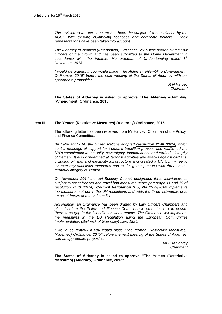*The revision to the fee structure has been the subject of a consultation by the AGCC with existing eGambling licensees and certificate holders. Their representations have been taken into account.*

*The Alderney eGambling (Amendment) Ordinance, 2015 was drafted by the Law Officers of the Crown and has been submitted to the Home Department in accordance with the tripartite Memorandum of Understanding dated 8th November, 2013.*

*I would be grateful if you would place "The Alderney eGambling (Amendment) Ordinance, 2015" before the next meeting of the States of Alderney with an appropriate proposition.*

> *R N Harvey Chairman"*

**The States of Alderney is asked to approve "The Alderney eGambling (Amendment) Ordinance, 2015"**

# **Item III The Yemen (Restrictive Measures) (Alderney) Ordinance, 2015**

The following letter has been received from Mr Harvey, Chairman of the Policy and Finance Committee:-

*"In February 2014, the United Nations adopted [resolution 2140 \(2014\)](http://www.un.org/ga/search/view_doc.asp?symbol=S/RES/2140%20(2014)) which sent a message of support for Yemen's transition process and reaffirmed the UN's commitment to the unity, sovereignty, independence and territorial integrity of Yemen. It also condemned all terrorist activities and attacks against civilians, including oil, gas and electricity infrastructure and created a UN Committee to oversee any sanctions measures and to designate persons who threaten the territorial integrity of Yemen.* 

*On November 2014 the UN Security Council designated three individuals as subject to asset freezes and travel ban measures under paragraph 11 and 15 of resolution 2140 (2014). [Council Regulation \(EU\) No 1352/2014](http://eur-lex.europa.eu/legal-content/EN/TXT/PDF/?uri=OJ:JOL_2014_365_R_0007&from=EN) implements the measures set out in the UN resolutions and adds the three individuals onto an asset freeze and travel ban list.*

*Accordingly, an Ordinance has been drafted by Law Officers Chambers and placed before the Policy and Finance Committee in order to seek to ensure there is no gap in the Island's sanctions regime. The Ordinance will implement the measures in the EU Regulation using the European Communities Implementation (Bailiwick of Guernsey) Law, 1994.*

*I* would be grateful if you would place "The Yemen (Restrictive Measures) *(Alderney) Ordinance, 2015" before the next meeting of the States of Alderney with an appropriate proposition.*

> *Mr R N Harvey Chairman"*

**The States of Alderney is asked to approve "The Yemen (Restrictive Measures) (Alderney) Ordinance, 2015".**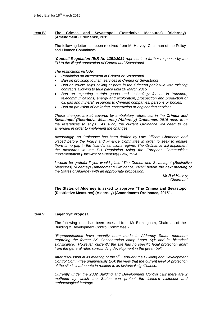# **Item IV The Crimea and Sevastopol (Restrictive Measures) (Alderney) (Amendment) Ordinance, 2015**

The following letter has been received from Mr Harvey, Chairman of the Policy and Finance Committee:-

*"[Council Regulation \(EU\) No 1351/2014](http://eur-lex.europa.eu/legal-content/EN/TXT/PDF/?uri=OJ:JOL_2014_365_R_0007&from=EN) represents a further response by the EU to the illegal annexation of Crimea and Sevastopol.*

*The restrictions include:*

- *Prohibition on investment in Crimea or Sevastopol.*
- *Ban on providing tourism services in Crimea or Sevastopol*
- *Ban on cruise ships calling at ports in the Crimean peninsula with existing contracts allowing to take place until 20 March 2015.*
- *Ban on exporting certain goods and technology for us in transport, telecommunications, energy and exploration, prospection and production of oil, gas and mineral resources to Crimean companies, persons or bodies.*
- *Ban on provision of brokering, construction or engineering services.*

*These changes are all covered by ambulatory references in the [Crimea and](http://www.guernseylegalresources.gg/article/113382/Crimea-and-Sevastopol-Restrictive-Measures-Guernsey-Ordinance-2014)  [Sevastopol \(Restrictive Measures\) \(Alderney\) Ordinance, 2014](http://www.guernseylegalresources.gg/article/113382/Crimea-and-Sevastopol-Restrictive-Measures-Guernsey-Ordinance-2014) apart from the references to ships. As such, the current Ordinance will need to be amended in order to implement the changes.*

*Accordingly, an Ordinance has been drafted by Law Officers Chambers and placed before the Policy and Finance Committee in order to seek to ensure there is no gap in the Island's sanctions regime. The Ordinance will implement the measures in the EU Regulation using the European Communities Implementation (Bailiwick of Guernsey) Law, 1994.*

*I would be grateful if you would place "The Crimea and Sevastopol (Restrictive Measures) (Alderney) (Amendment) Ordinance, 2015" before the next meeting of the States of Alderney with an appropriate proposition.*

> *Mr R N Harvey Chairman"*

**The States of Alderney is asked to approve "The Crimea and Sevastopol (Restrictive Measures) (Alderney) (Amendment) Ordinance, 2015".**

# **Item V Lager Sylt Proposal**

The following letter has been received from Mr Birmingham, Chairman of the Building & Development Control Committee:-

*"Representations have recently been made to Alderney States members regarding the former SS Concentration camp Lager Sylt and its historical significance. However, currently the site has no specific legal protection apart from the general rules surrounding development in the green belt.*

*After discussion at its meeting of the 9th February the Building and Development Control Committee unanimously took the view that the current level of protection of the site is inadequate in relation to its historical significance.*

*Currently under the 2002 Building and Development Control Law there are 2 methods by which the States can protect the island's historical and archaeological heritage*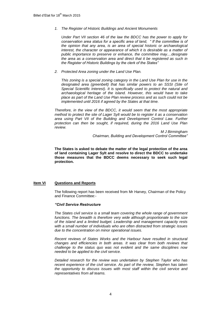*1. The Register of Historic Buildings and Ancient Monuments*

*Under Part VII section 46 of the law the BDCC has the power to apply for conservation area status for a specific area of land, " If the committee is of the opinion that any area, is an area of special historic or archaeological interest, the character or appearance of which it is desirable as a matter of public importance to preserve or enhance, the committee may....designate the area as a conservation area and direct that it be registered as such in the Register of Historic Buildings by the clerk of the States"* 

*2. Protected Area zoning under the Land Use Plan.*

*This zoning is a special zoning category in the Land Use Plan for use in the designated area (greenbelt) that has similar powers to an SSSI (Site of Special Scientific Interest). It is specifically used to protect the natural and archaeological heritage of the island. However, this would have to take place as part of the Land Use Plan review process and as such could not be implemented until 2016 if agreed by the States at that time.*

*Therefore, in the view of the BDCC, it would seem that the most appropriate method to protect the site of Lager Sylt would be to register it as a conservation area using Part VII of the Building and Development Control Law. Further protection can then be sought, if required, during the 2016 Land Use Plan review.*

> *M J Birmingham Chairman, Building and Development Control Committee"*

**The States is asked to debate the matter of the legal protection of the area of land containing Lager Sylt and resolve to direct the BDCC to undertake those measures that the BDCC deems necessary to seek such legal protection.**

# **Item VI Questions and Reports**

The following report has been received from Mr Harvey, Chairman of the Policy and Finance Committee:-

#### *"Civil Service Restructure*

*The States civil service is a small team covering the whole range of government functions. The breadth is therefore very wide although proportionate to the size of the island and a limited budget. Leadership and management capacity rests with a small number of individuals who are often distracted from strategic issues due to the concentration on minor operational issues.*

*Recent reviews of States Works and the Harbour have resulted in structural changes and efficiencies in both areas. It was clear from both reviews that challenge to the status quo was not evident and the same disciplines now needed to be applied to the civil service.* 

*Detailed research for the review was undertaken by Stephen Taylor who has recent experience of the civil service. As part of the review, Stephen has taken the opportunity to discuss issues with most staff within the civil service and representatives from all teams.*